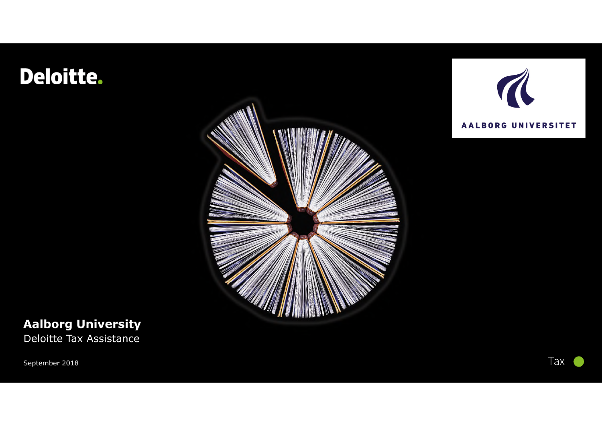## Deloitte.





### **Aalborg University**

Deloitte Tax Assistance

September 2018

Tax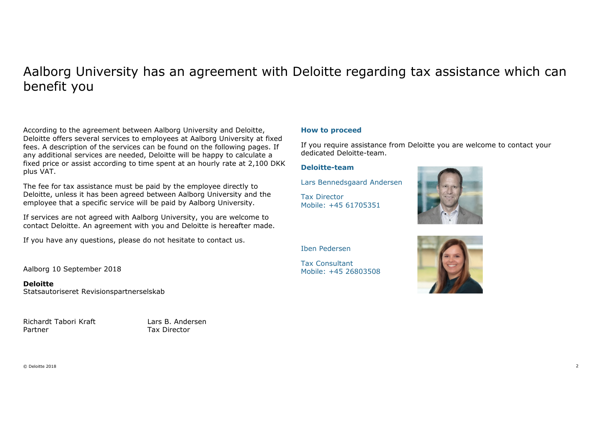#### Aalborg University has an agreement with Deloitte regarding tax assistance which can benefit you

According to the agreement between Aalborg University and Deloitte, Deloitte offers several services to employees at Aalborg University at fixed fees. A description of the services can be found on the following pages. If any additional services are needed, Deloitte will be happy to calculate a fixed price or assist according to time spent at an hourly rate at 2,100 DKK plus VAT.

The fee for tax assistance must be paid by the employee directly to Deloitte, unless it has been agreed between Aalborg University and the employee that a specific service will be paid by Aalborg University.

If services are not agreed with Aalborg University, you are welcome to contact Deloitte. An agreement with you and Deloitte is hereafter made.

If you have any questions, please do not hesitate to contact us.

Aalborg 10 September 2018

**Deloitte** Statsautoriseret Revisionspartnerselskab

Richardt Tabori Kraft Lars B. Andersen Partner Tax Director

#### **How to proceed**

If you require assistance from Deloitte you are welcome to contact your dedicated Deloitte-team.

#### **Deloitte-team**

Lars Bennedsgaard Andersen

Tax Director Mobile: +45 61705351



Iben Pedersen

Tax Consultant Mobile: +45 26803508

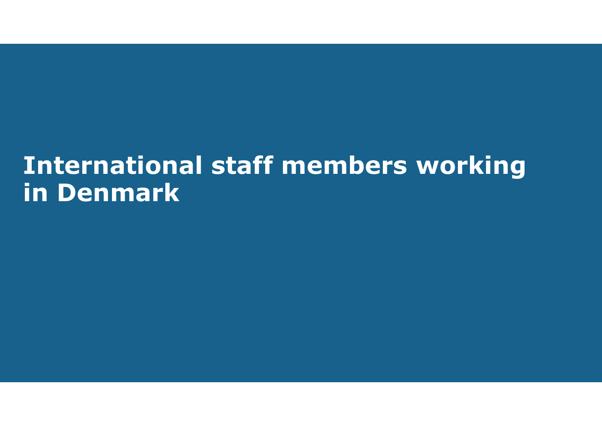## **International staff members working in Denmark**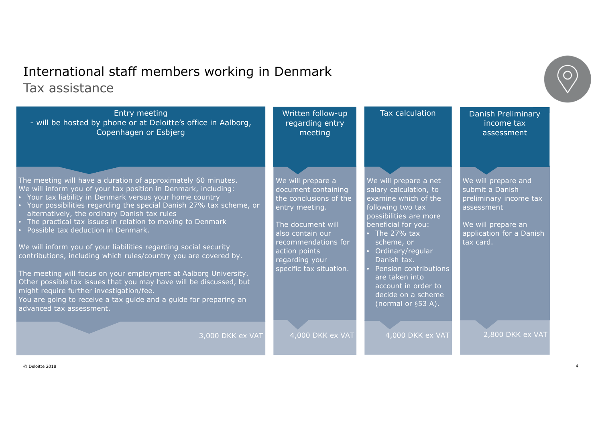### International staff members working in Denmark Tax assistance

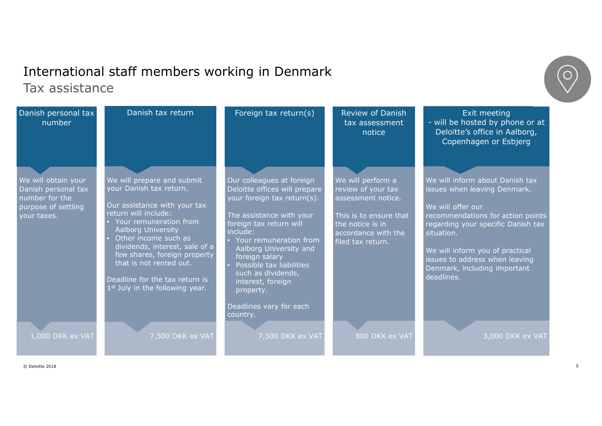#### International staff members working in Denmark Tax assistance

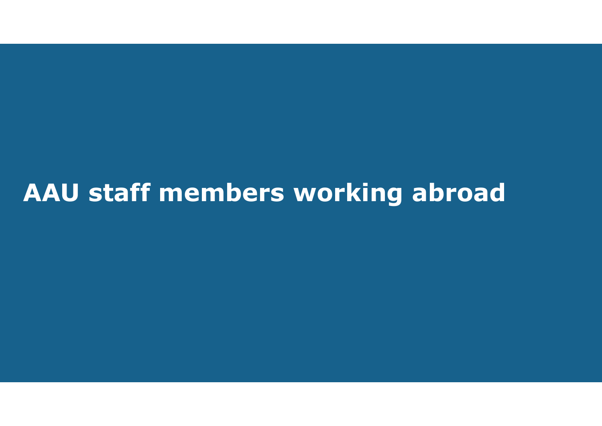# **AAU staff members working abroad**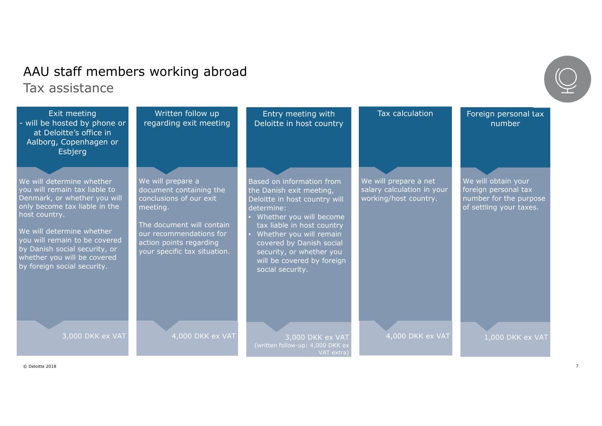## AAU staff members working abroad Tax assistance

| Exit meeting<br>- will be hosted by phone or<br>at Deloitte's office in<br>Aalborg, Copenhagen or<br>Esbjerg                                                                                                                                                                                              | Written follow up<br>regarding exit meeting                                                                                                                                                            | Entry meeting with<br>Deloitte in host country                                                                                                                                                                                                                                                     | Tax calculation                                                              | Foreign personal tax<br>number                                                                   |
|-----------------------------------------------------------------------------------------------------------------------------------------------------------------------------------------------------------------------------------------------------------------------------------------------------------|--------------------------------------------------------------------------------------------------------------------------------------------------------------------------------------------------------|----------------------------------------------------------------------------------------------------------------------------------------------------------------------------------------------------------------------------------------------------------------------------------------------------|------------------------------------------------------------------------------|--------------------------------------------------------------------------------------------------|
| We will determine whether<br>you will remain tax liable to<br>Denmark, or whether you will<br>only become tax liable in the<br>host country.<br>We will determine whether<br>you will remain to be covered<br>by Danish social security, or<br>whether you will be covered<br>by foreign social security. | We will prepare a<br>document containing the<br>conclusions of our exit<br>meeting.<br>The document will contain<br>our recommendations for<br>action points regarding<br>your specific tax situation. | Based on information from<br>the Danish exit meeting,<br>Deloitte in host country will<br>determine:<br>Whether you will become<br>tax liable in host country<br>Whether you will remain<br>covered by Danish social<br>security, or whether you<br>will be covered by foreign<br>social security. | We will prepare a net<br>salary calculation in your<br>working/host country. | We will obtain your<br>foreign personal tax<br>number for the purpose<br>of settling your taxes. |
| 3,000 DKK ex VAT                                                                                                                                                                                                                                                                                          | 4,000 DKK ex VAT                                                                                                                                                                                       | 3,000 DKK ex VAT<br>(written follow-up: 4,000 DKK ex<br>VAT extra)                                                                                                                                                                                                                                 | 4,000 DKK ex VAT                                                             | 1,000 DKK ex VAT                                                                                 |

© Deloitte 2018 7

Ŧ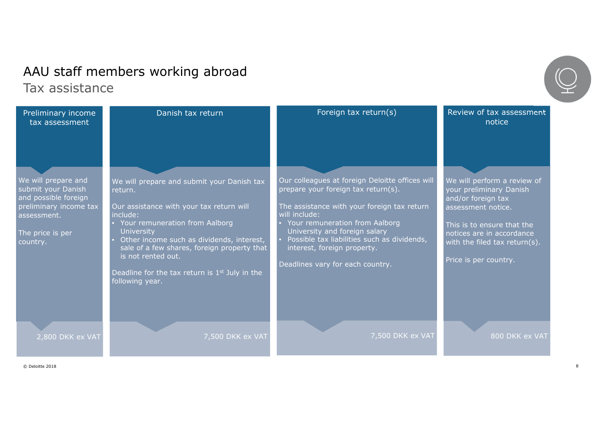### AAU staff members working abroad Tax assistance

7,500 DKK ex VAT Our colleagues at foreign Deloitte offices will prepare your foreign tax return(s). The assistance with your foreign tax return will include: • Your remuneration from Aalborg University and foreign salary • Possible tax liabilities such as dividends, interest, foreign property. Deadlines vary for each country. Foreign tax return(s) 800 DKK ex VAT We will perform a review of your preliminary Danish and/or foreign tax assessment notice. This is to ensure that the notices are in accordance with the filed tax return(s). Price is per country. Review of tax assessment notice 7,500 DKK ex VAT We will prepare and submit your Danish tax return. Our assistance with your tax return will include: • Your remuneration from Aalborg **University** Other income such as dividends, interest, sale of a few shares, foreign property that is not rented out. Deadline for the tax return is  $1<sup>st</sup>$  July in the following year. Danish tax return 2,800 DKK ex VAT We will prepare and submit your Danish and possible foreign preliminary income tax assessment. The price is per country. Preliminary income tax assessment